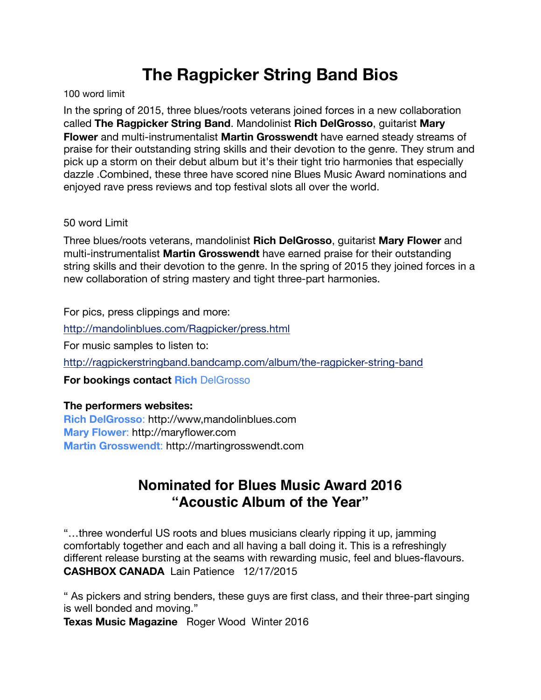## **The Ragpicker String Band Bios**

100 word limit

In the spring of 2015, three blues/roots veterans joined forces in a new collaboration called **The Ragpicker String Band**. Mandolinist **Rich DelGrosso**, guitarist **Mary Flower** and multi-instrumentalist **Martin Grosswendt** have earned steady streams of praise for their outstanding string skills and their devotion to the genre. They strum and pick up a storm on their debut album but it's their tight trio harmonies that especially dazzle .Combined, these three have scored nine Blues Music Award nominations and enjoyed rave press reviews and top festival slots all over the world.

## 50 word Limit

Three blues/roots veterans, mandolinist **Rich DelGrosso**, guitarist **Mary Flower** and multi-instrumentalist **Martin Grosswendt** have earned praise for their outstanding string skills and their devotion to the genre. In the spring of 2015 they joined forces in a new collaboration of string mastery and tight three-part harmonies.

For pics, press clippings and more:

<http://mandolinblues.com/Ragpicker/press.html>

For music samples to listen to:

<http://ragpickerstringband.bandcamp.com/album/the-ragpicker-string-band>

**For bookings contact Rich** [DelGrosso](mailto:bluzman88@earthlink.net)

## **The performers websites:**

**[Rich DelGrosso](http://www.mandolinblues.com/)**: http://www,mandolinblues.com **[Mary Flower](http://maryflower.com/)**: http://maryflower.com **[Martin Grosswendt](http://www.martingrosswendt.com/)**: http://martingrosswendt.com

## **Nominated for Blues Music Award 2016 "Acoustic Album of the Year"**

"…three wonderful US roots and blues musicians clearly ripping it up, jamming comfortably together and each and all having a ball doing it. This is a refreshingly different release bursting at the seams with rewarding music, feel and blues-flavours. **CASHBOX CANADA** Lain Patience 12/17/2015

" As pickers and string benders, these guys are first class, and their three-part singing is well bonded and moving."

**Texas Music Magazine** Roger Wood Winter 2016